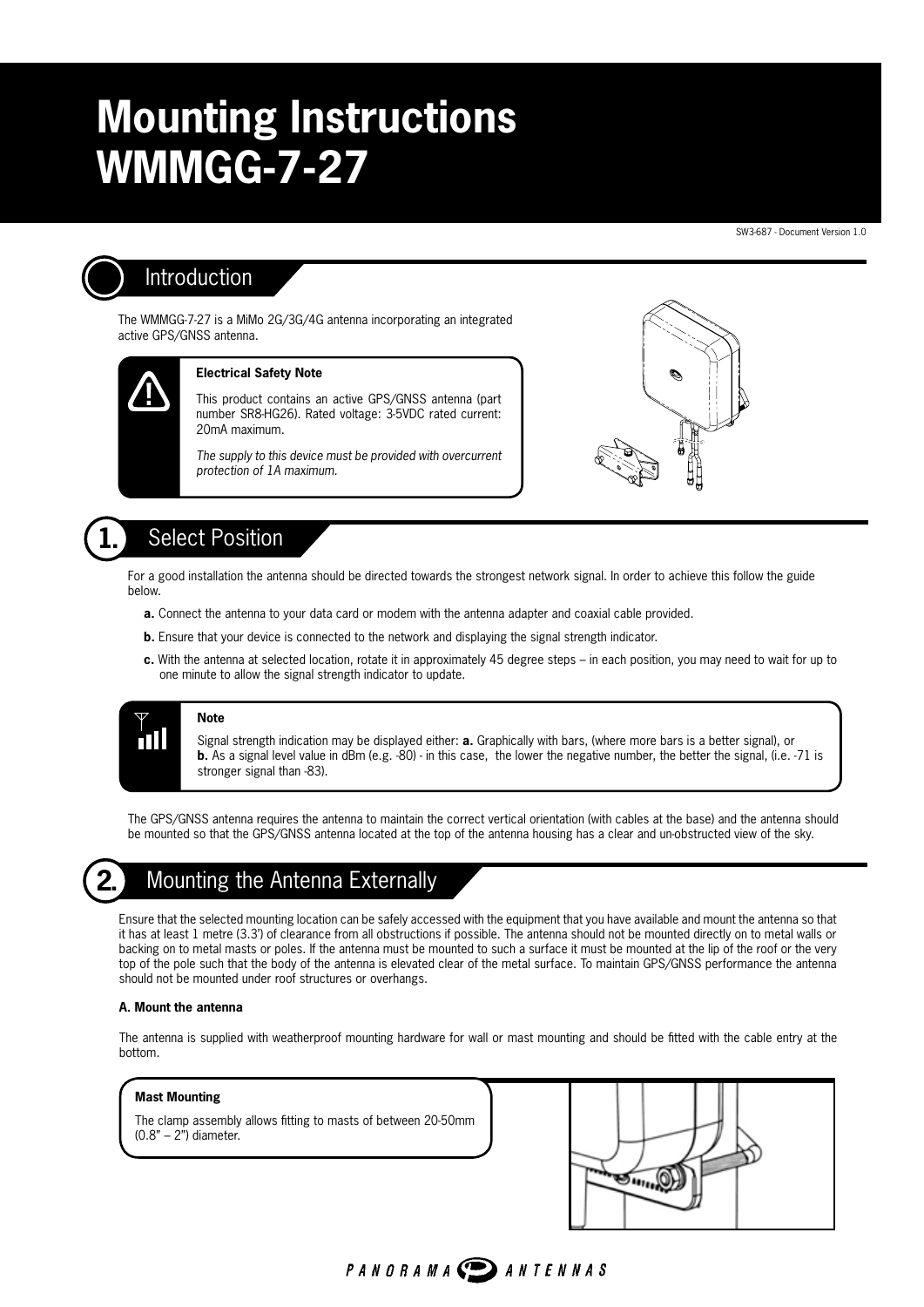## **Mounting Instructions**  B **WMMGG-7-27**   $\overline{1}$

SW3-687 - Document Version 1.0



### Introduction

The WMMGG-7-27 is a MiMo 2G/3G/4G antenna incorporating an integrated D active GPS/GNSS antenna.  $\overline{p}$ 



#### **Electrical Safety Note**

This product contains an active GPS/GNSS antenna (part number SR8-HG26). Rated voltage: 3-5VDC rated current: 20mA maximum.

The supply to this device must be provided with overcurrent *protection of 1A maximum.*

F



15

### **1.** Select Position

For a good installation the antenna should be directed towards the strongest network signal. In order to achieve this follow the guide below.

- **a.** Connect the antenna to your data card or modem with the antenna adapter and coaxial cable provided.
- **b.** Ensure that your device is connected to the network and displaying the signal strength indicator.
- **c.** With the antenna at selected location, rotate it in approximately 45 degree steps in each position, you may need to wait for up to one minute to allow the signal strength indicator to update.



#### **Note**

Signal strength indication may be displayed either: **a.** Graphically with bars, (where more bars is a better signal), or **b.** As a signal level value in dBm (e.g. -80) - in this case, the lower the negative number, the better the signal, (i.e. -71 is stronger signal than -83).

SMA PLUGS

M6 'V' BOLT

 $\overline{\phantom{a}}$ 

The GPS/GNSS antenna requires the antenna to maintain the correct vertical orientation (with cables at the base) and the antenna should be mounted so that the GPS/GNSS antenna located at the top of the antenna housing has a clear and un-obstructed view of the sky.



## **2.** Mounting the Antenna Externally

Ensure that the selected mounting location can be safely accessed with the equipment that you have available and mount the antenna so that it has at least 1 metre (3.3') of clearance from all obstructions if possible. The antenna should not be mounted directly on to metal walls or backing on to metal masts or poles. If the antenna must be mounted to such a surface it must be mounted at the lip of the roof or the very top of the pole such that the body of the antenna is elevated clear of the metal surface. To maintain GPS/GNSS performance the antenna should not be mounted under roof structures or overhangs.

#### **A. Mount the antenna**

The antenna is supplied with weatherproof mounting hardware for wall or mast mounting and should be fitted with the cable entry at the bottom.

PANORAMA DANTENNAS

#### **Mast Mounting**

The clamp assembly allows fitting to masts of between 20-50mm (0.8" – 2") diameter.